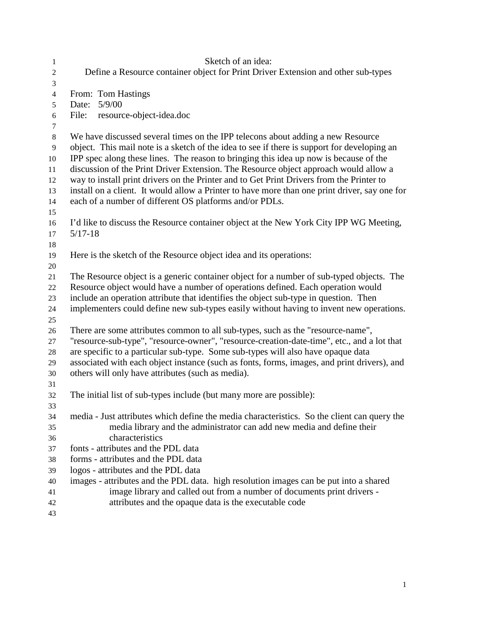| 1              | Sketch of an idea:                                                                                                                                                               |  |  |
|----------------|----------------------------------------------------------------------------------------------------------------------------------------------------------------------------------|--|--|
| $\sqrt{2}$     | Define a Resource container object for Print Driver Extension and other sub-types                                                                                                |  |  |
| 3              |                                                                                                                                                                                  |  |  |
| $\overline{4}$ | From: Tom Hastings                                                                                                                                                               |  |  |
| 5              | Date: 5/9/00                                                                                                                                                                     |  |  |
| 6              | resource-object-idea.doc<br>File:                                                                                                                                                |  |  |
| 7              |                                                                                                                                                                                  |  |  |
| $\,8\,$        | We have discussed several times on the IPP telecons about adding a new Resource                                                                                                  |  |  |
| $\overline{9}$ | object. This mail note is a sketch of the idea to see if there is support for developing an                                                                                      |  |  |
| 10             | IPP spec along these lines. The reason to bringing this idea up now is because of the                                                                                            |  |  |
| 11             | discussion of the Print Driver Extension. The Resource object approach would allow a<br>way to install print drivers on the Printer and to Get Print Drivers from the Printer to |  |  |
| 12<br>13       | install on a client. It would allow a Printer to have more than one print driver, say one for                                                                                    |  |  |
| 14             | each of a number of different OS platforms and/or PDLs.                                                                                                                          |  |  |
| 15             |                                                                                                                                                                                  |  |  |
| 16             | I'd like to discuss the Resource container object at the New York City IPP WG Meeting,                                                                                           |  |  |
| 17             | $5/17 - 18$                                                                                                                                                                      |  |  |
| 18             |                                                                                                                                                                                  |  |  |
| 19             | Here is the sketch of the Resource object idea and its operations:                                                                                                               |  |  |
| 20             |                                                                                                                                                                                  |  |  |
| 21             | The Resource object is a generic container object for a number of sub-typed objects. The                                                                                         |  |  |
| $22\,$         | Resource object would have a number of operations defined. Each operation would                                                                                                  |  |  |
| 23             | include an operation attribute that identifies the object sub-type in question. Then                                                                                             |  |  |
| 24             | implementers could define new sub-types easily without having to invent new operations.                                                                                          |  |  |
| 25             |                                                                                                                                                                                  |  |  |
| 26             | There are some attributes common to all sub-types, such as the "resource-name",                                                                                                  |  |  |
| 27             | "resource-sub-type", "resource-owner", "resource-creation-date-time", etc., and a lot that                                                                                       |  |  |
| 28             | are specific to a particular sub-type. Some sub-types will also have opaque data                                                                                                 |  |  |
| 29             | associated with each object instance (such as fonts, forms, images, and print drivers), and                                                                                      |  |  |
| 30             | others will only have attributes (such as media).                                                                                                                                |  |  |
| 31             |                                                                                                                                                                                  |  |  |
| 32             | The initial list of sub-types include (but many more are possible):                                                                                                              |  |  |
| 33             |                                                                                                                                                                                  |  |  |
| 34             | media - Just attributes which define the media characteristics. So the client can query the                                                                                      |  |  |
| 35             | media library and the administrator can add new media and define their<br>characteristics                                                                                        |  |  |
| 36             | fonts - attributes and the PDL data                                                                                                                                              |  |  |
| 37<br>38       | forms - attributes and the PDL data                                                                                                                                              |  |  |
| 39             | logos - attributes and the PDL data                                                                                                                                              |  |  |
| 40             | images - attributes and the PDL data. high resolution images can be put into a shared                                                                                            |  |  |
| 41             | image library and called out from a number of documents print drivers -                                                                                                          |  |  |
| 42             | attributes and the opaque data is the executable code                                                                                                                            |  |  |
| 43             |                                                                                                                                                                                  |  |  |